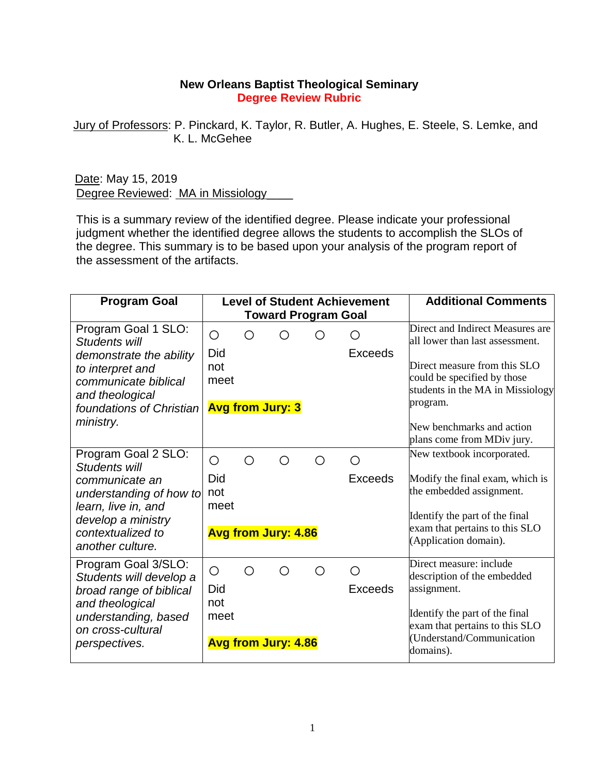## **New Orleans Baptist Theological Seminary Degree Review Rubric**

Jury of Professors: P. Pinckard, K. Taylor, R. Butler, A. Hughes, E. Steele, S. Lemke, and K. L. McGehee

Date: May 15, 2019 Degree Reviewed: MA in Missiology

This is a summary review of the identified degree. Please indicate your professional judgment whether the identified degree allows the students to accomplish the SLOs of the degree. This summary is to be based upon your analysis of the program report of the assessment of the artifacts.

| <b>Program Goal</b>                                                                                                                                                     |                                  |   | <b>Level of Student Achievement</b><br><b>Toward Program Goal</b> |     | <b>Additional Comments</b>   |                                                                                                                                                                                          |
|-------------------------------------------------------------------------------------------------------------------------------------------------------------------------|----------------------------------|---|-------------------------------------------------------------------|-----|------------------------------|------------------------------------------------------------------------------------------------------------------------------------------------------------------------------------------|
| Program Goal 1 SLO:<br>Students will<br>demonstrate the ability<br>to interpret and<br>communicate biblical<br>and theological<br>foundations of Christian              | O<br>Did<br>not<br>meet          | ∩ | <b>Avg from Jury: 3</b>                                           | ( ) | $\bigcirc$<br><b>Exceeds</b> | Direct and Indirect Measures are<br>all lower than last assessment.<br>Direct measure from this $\rm SLO$<br>could be specified by those<br>students in the MA in Missiology<br>program. |
| ministry.                                                                                                                                                               |                                  |   |                                                                   |     |                              | New benchmarks and action<br>plans come from MDiv jury.                                                                                                                                  |
| Program Goal 2 SLO:<br>Students will<br>communicate an<br>understanding of how to<br>learn, live in, and<br>develop a ministry<br>contextualized to<br>another culture. | O<br>Did<br>not<br>meet          | ∩ | ∩<br><b>Avg from Jury: 4.86</b>                                   | ∩   | ∩<br>Exceeds                 | New textbook incorporated.<br>Modify the final exam, which is<br>the embedded assignment.<br>Identify the part of the final<br>exam that pertains to this SLO<br>(Application domain).   |
| Program Goal 3/SLO:<br>Students will develop a<br>broad range of biblical<br>and theological<br>understanding, based<br>on cross-cultural<br>perspectives.              | $\bigcirc$<br>Did<br>not<br>meet | ∩ | ∩<br><b>Avg from Jury: 4.86</b>                                   | ∩   | ◯<br>Exceeds                 | Direct measure: include<br>description of the embedded<br>assignment.<br>Identify the part of the final<br>exam that pertains to this SLO<br>(Understand/Communication<br>domains).      |